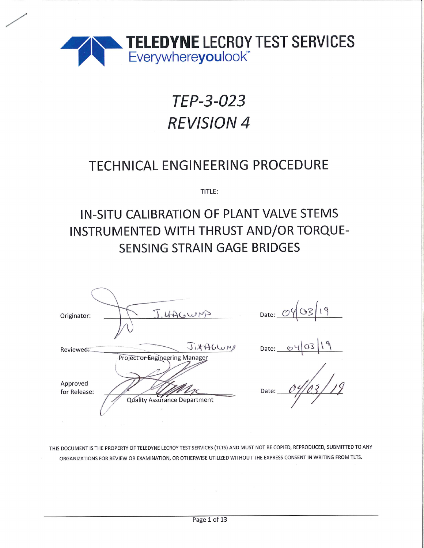

# TEP-3-023 **REVISION 4**

## **TECHNICAL ENGINEERING PROCEDURE**

TITLE:

# IN-SITU CALIBRATION OF PLANT VALVE STEMS INSTRUMENTED WITH THRUST AND/OR TORQUE-**SENSING STRAIN GAGE BRIDGES**

| Originator:              | J. HAGWAS                                                      | Date: $\mathcal{C}$                    |
|--------------------------|----------------------------------------------------------------|----------------------------------------|
| Reviewed:                | JINADULIN                                                      | Date:<br>$\mathfrak{S}^{\mathfrak{c}}$ |
| Approved<br>for Release: | Project or Engineering Manager<br>Quality Assurance Department | Date:                                  |

THIS DOCUMENT IS THE PROPERTY OF TELEDYNE LECROY TEST SERVICES (TLTS) AND MUST NOT BE COPIED, REPRODUCED, SUBMITTED TO ANY ORGANIZATIONS FOR REVIEW OR EXAMINATION, OR OTHERWISE UTILIZED WITHOUT THE EXPRESS CONSENT IN WRITING FROM TLTS.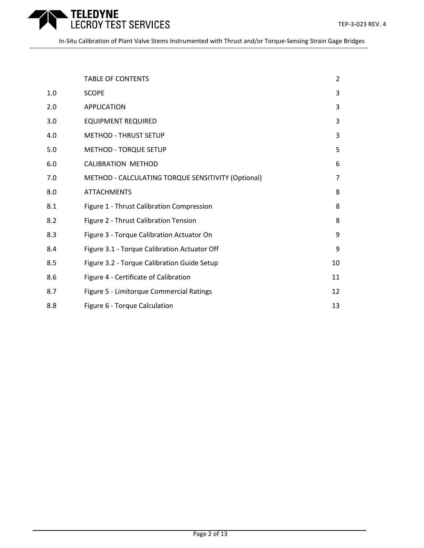

|     | <b>TABLE OF CONTENTS</b>                           | $\overline{2}$ |
|-----|----------------------------------------------------|----------------|
| 1.0 | <b>SCOPE</b>                                       | 3              |
| 2.0 | <b>APPLICATION</b>                                 | 3              |
| 3.0 | <b>EQUIPMENT REQUIRED</b>                          | 3              |
| 4.0 | <b>METHOD - THRUST SETUP</b>                       | 3              |
| 5.0 | <b>METHOD - TORQUE SETUP</b>                       | 5              |
| 6.0 | <b>CALIBRATION METHOD</b>                          | 6              |
| 7.0 | METHOD - CALCULATING TORQUE SENSITIVITY (Optional) | $\overline{7}$ |
| 8.0 | <b>ATTACHMENTS</b>                                 | 8              |
| 8.1 | Figure 1 - Thrust Calibration Compression          | 8              |
| 8.2 | Figure 2 - Thrust Calibration Tension              | 8              |
| 8.3 | Figure 3 - Torque Calibration Actuator On          | 9              |
| 8.4 | Figure 3.1 - Torque Calibration Actuator Off       | 9              |
| 8.5 | Figure 3.2 - Torque Calibration Guide Setup        | 10             |
| 8.6 | Figure 4 - Certificate of Calibration              | 11             |
| 8.7 | Figure 5 - Limitorque Commercial Ratings           | 12             |
| 8.8 | Figure 6 - Torque Calculation                      | 13             |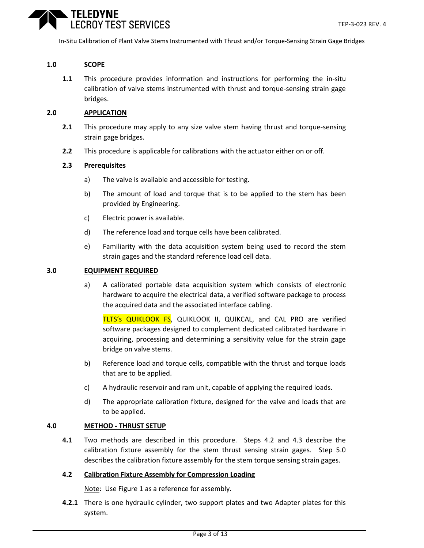

#### **1.0 SCOPE**

**1.1** This procedure provides information and instructions for performing the in-situ calibration of valve stems instrumented with thrust and torque-sensing strain gage bridges.

#### **2.0 APPLICATION**

- **2.1** This procedure may apply to any size valve stem having thrust and torque-sensing strain gage bridges.
- **2.2** This procedure is applicable for calibrations with the actuator either on or off.

#### **2.3 Prerequisites**

- a) The valve is available and accessible for testing.
- b) The amount of load and torque that is to be applied to the stem has been provided by Engineering.
- c) Electric power is available.
- d) The reference load and torque cells have been calibrated.
- e) Familiarity with the data acquisition system being used to record the stem strain gages and the standard reference load cell data.

#### **3.0 EQUIPMENT REQUIRED**

a) A calibrated portable data acquisition system which consists of electronic hardware to acquire the electrical data, a verified software package to process the acquired data and the associated interface cabling.

TLTS's QUIKLOOK FS, QUIKLOOK II, QUIKCAL, and CAL PRO are verified software packages designed to complement dedicated calibrated hardware in acquiring, processing and determining a sensitivity value for the strain gage bridge on valve stems.

- b) Reference load and torque cells, compatible with the thrust and torque loads that are to be applied.
- c) A hydraulic reservoir and ram unit, capable of applying the required loads.
- d) The appropriate calibration fixture, designed for the valve and loads that are to be applied.

#### **4.0 METHOD - THRUST SETUP**

**4.1** Two methods are described in this procedure. Steps 4.2 and 4.3 describe the calibration fixture assembly for the stem thrust sensing strain gages. Step 5.0 describes the calibration fixture assembly for the stem torque sensing strain gages.

#### **4.2 Calibration Fixture Assembly for Compression Loading**

Note: Use Figure 1 as a reference for assembly.

**4.2.1** There is one hydraulic cylinder, two support plates and two Adapter plates for this system.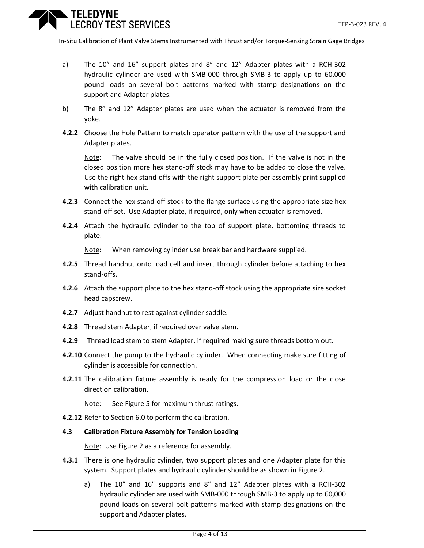

- a) The 10" and 16" support plates and 8" and 12" Adapter plates with a RCH-302 hydraulic cylinder are used with SMB-000 through SMB-3 to apply up to 60,000 pound loads on several bolt patterns marked with stamp designations on the support and Adapter plates.
- b) The 8" and 12" Adapter plates are used when the actuator is removed from the yoke.
- **4.2.2** Choose the Hole Pattern to match operator pattern with the use of the support and Adapter plates.

Note: The valve should be in the fully closed position. If the valve is not in the closed position more hex stand-off stock may have to be added to close the valve. Use the right hex stand-offs with the right support plate per assembly print supplied with calibration unit.

- **4.2.3** Connect the hex stand-off stock to the flange surface using the appropriate size hex stand-off set. Use Adapter plate, if required, only when actuator is removed.
- **4.2.4** Attach the hydraulic cylinder to the top of support plate, bottoming threads to plate.

Note: When removing cylinder use break bar and hardware supplied.

- **4.2.5** Thread handnut onto load cell and insert through cylinder before attaching to hex stand-offs.
- **4.2.6** Attach the support plate to the hex stand-off stock using the appropriate size socket head capscrew.
- **4.2.7** Adjust handnut to rest against cylinder saddle.
- **4.2.8** Thread stem Adapter, if required over valve stem.
- **4.2.9** Thread load stem to stem Adapter, if required making sure threads bottom out.
- **4.2.10** Connect the pump to the hydraulic cylinder. When connecting make sure fitting of cylinder is accessible for connection.
- **4.2.11** The calibration fixture assembly is ready for the compression load or the close direction calibration.

Note: See Figure 5 for maximum thrust ratings.

**4.2.12** Refer to Section 6.0 to perform the calibration.

#### **4.3 Calibration Fixture Assembly for Tension Loading**

Note: Use Figure 2 as a reference for assembly.

- **4.3.1** There is one hydraulic cylinder, two support plates and one Adapter plate for this system. Support plates and hydraulic cylinder should be as shown in Figure 2.
	- a) The 10" and 16" supports and 8" and 12" Adapter plates with a RCH-302 hydraulic cylinder are used with SMB-000 through SMB-3 to apply up to 60,000 pound loads on several bolt patterns marked with stamp designations on the support and Adapter plates.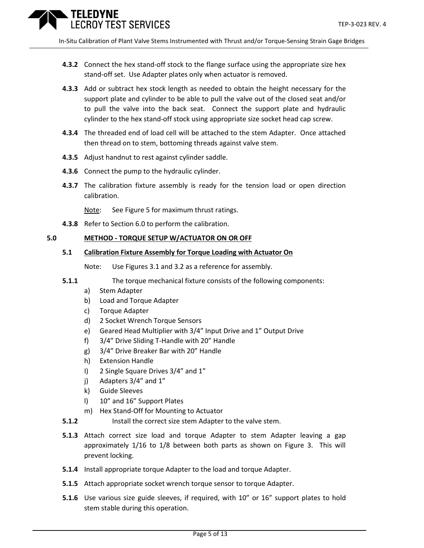

- **4.3.2** Connect the hex stand-off stock to the flange surface using the appropriate size hex stand-off set. Use Adapter plates only when actuator is removed.
- **4.3.3** Add or subtract hex stock length as needed to obtain the height necessary for the support plate and cylinder to be able to pull the valve out of the closed seat and/or to pull the valve into the back seat. Connect the support plate and hydraulic cylinder to the hex stand-off stock using appropriate size socket head cap screw.
- **4.3.4** The threaded end of load cell will be attached to the stem Adapter. Once attached then thread on to stem, bottoming threads against valve stem.
- **4.3.5** Adjust handnut to rest against cylinder saddle.
- **4.3.6** Connect the pump to the hydraulic cylinder.
- **4.3.7** The calibration fixture assembly is ready for the tension load or open direction calibration.

Note: See Figure 5 for maximum thrust ratings.

**4.3.8** Refer to Section 6.0 to perform the calibration.

#### **5.0 METHOD - TORQUE SETUP W/ACTUATOR ON OR OFF**

#### **5.1 Calibration Fixture Assembly for Torque Loading with Actuator On**

Note: Use Figures 3.1 and 3.2 as a reference for assembly.

- **5.1.1** The torque mechanical fixture consists of the following components:
	- a) Stem Adapter
	- b) Load and Torque Adapter
	- c) Torque Adapter
	- d) 2 Socket Wrench Torque Sensors
	- e) Geared Head Multiplier with 3/4" Input Drive and 1" Output Drive
	- f) 3/4" Drive Sliding T-Handle with 20" Handle
	- g) 3/4" Drive Breaker Bar with 20" Handle
	- h) Extension Handle
	- I) 2 Single Square Drives 3/4" and 1"
	- j) Adapters 3/4" and 1"
	- k) Guide Sleeves
	- l) 10" and 16" Support Plates
	- m) Hex Stand-Off for Mounting to Actuator
- **5.1.2** Install the correct size stem Adapter to the valve stem.
- **5.1.3** Attach correct size load and torque Adapter to stem Adapter leaving a gap approximately 1/16 to 1/8 between both parts as shown on Figure 3. This will prevent locking.
- **5.1.4** Install appropriate torque Adapter to the load and torque Adapter.
- **5.1.5** Attach appropriate socket wrench torque sensor to torque Adapter.
- **5.1.6** Use various size guide sleeves, if required, with 10" or 16" support plates to hold stem stable during this operation.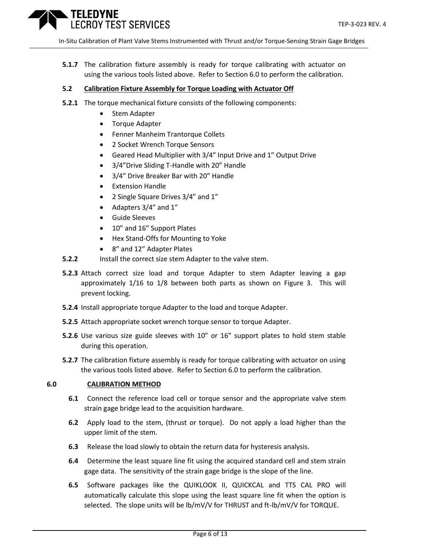

**5.1.7** The calibration fixture assembly is ready for torque calibrating with actuator on using the various tools listed above. Refer to Section 6.0 to perform the calibration.

#### **5.2 Calibration Fixture Assembly for Torque Loading with Actuator Off**

- **5.2.1** The torque mechanical fixture consists of the following components:
	- Stem Adapter
	- Torque Adapter
	- Fenner Manheim Trantorque Collets
	- 2 Socket Wrench Torque Sensors
	- Geared Head Multiplier with 3/4" Input Drive and 1" Output Drive
	- 3/4"Drive Sliding T-Handle with 20" Handle
	- 3/4" Drive Breaker Bar with 20" Handle
	- Extension Handle
	- 2 Single Square Drives 3/4" and 1"
	- Adapters 3/4" and 1"
	- Guide Sleeves
	- 10" and 16" Support Plates
	- Hex Stand-Offs for Mounting to Yoke
	- 8" and 12" Adapter Plates
- **5.2.2** Install the correct size stem Adapter to the valve stem.
- **5.2.3** Attach correct size load and torque Adapter to stem Adapter leaving a gap approximately 1/16 to 1/8 between both parts as shown on Figure 3. This will prevent locking.
- **5.2.4** Install appropriate torque Adapter to the load and torque Adapter.
- **5.2.5** Attach appropriate socket wrench torque sensor to torque Adapter.
- **5.2.6** Use various size guide sleeves with 10" or 16" support plates to hold stem stable during this operation.
- **5.2.7** The calibration fixture assembly is ready for torque calibrating with actuator on using the various tools listed above. Refer to Section 6.0 to perform the calibration.

#### **6.0 CALIBRATION METHOD**

- **6.1** Connect the reference load cell or torque sensor and the appropriate valve stem strain gage bridge lead to the acquisition hardware.
- **6.2** Apply load to the stem, (thrust or torque). Do not apply a load higher than the upper limit of the stem.
- **6.3** Release the load slowly to obtain the return data for hysteresis analysis.
- **6.4** Determine the least square line fit using the acquired standard cell and stem strain gage data. The sensitivity of the strain gage bridge is the slope of the line.
- **6.5** Software packages like the QUIKLOOK II, QUICKCAL and TTS CAL PRO will automatically calculate this slope using the least square line fit when the option is selected. The slope units will be lb/mV/V for THRUST and ft-lb/mV/V for TORQUE.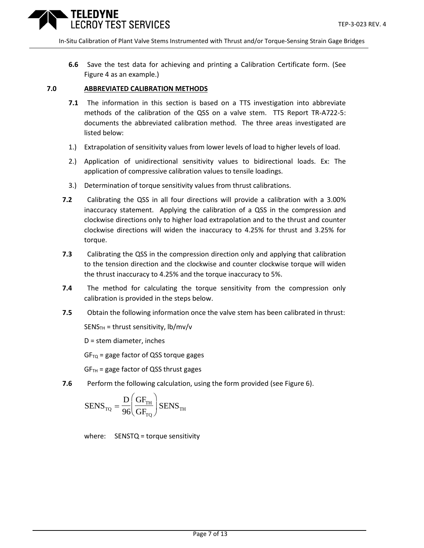

**6.6** Save the test data for achieving and printing a Calibration Certificate form. (See Figure 4 as an example.)

#### **7.0 ABBREVIATED CALIBRATION METHODS**

- **7.1** The information in this section is based on a TTS investigation into abbreviate methods of the calibration of the QSS on a valve stem. TTS Report TR-A722-5: documents the abbreviated calibration method. The three areas investigated are listed below:
- 1.) Extrapolation of sensitivity values from lower levels of load to higher levels of load.
- 2.) Application of unidirectional sensitivity values to bidirectional loads. Ex: The application of compressive calibration values to tensile loadings.
- 3.) Determination of torque sensitivity values from thrust calibrations.
- **7.2** Calibrating the QSS in all four directions will provide a calibration with a 3.00% inaccuracy statement. Applying the calibration of a QSS in the compression and clockwise directions only to higher load extrapolation and to the thrust and counter clockwise directions will widen the inaccuracy to 4.25% for thrust and 3.25% for torque.
- **7.3** Calibrating the QSS in the compression direction only and applying that calibration to the tension direction and the clockwise and counter clockwise torque will widen the thrust inaccuracy to 4.25% and the torque inaccuracy to 5%.
- **7.4** The method for calculating the torque sensitivity from the compression only calibration is provided in the steps below.
- **7.5** Obtain the following information once the valve stem has been calibrated in thrust:

 $SENS<sub>TH</sub>$  = thrust sensitivity, lb/mv/v

D = stem diameter, inches

 $GF<sub>TQ</sub>$  = gage factor of QSS torque gages

 $GF<sub>TH</sub>$  = gage factor of QSS thrust gages

**7.6** Perform the following calculation, using the form provided (see Figure 6).

$$
SENS_{\text{TQ}} = \frac{D}{96} \left( \frac{GF_{\text{TH}}}{GF_{\text{TQ}}} \right) SENS_{\text{TH}}
$$

where: SENSTQ = torque sensitivity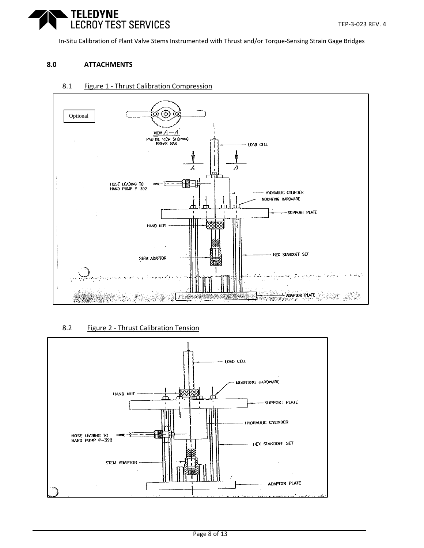

#### **8.0 ATTACHMENTS**

#### 8.1 Figure 1 - Thrust Calibration Compression



#### 8.2 Figure 2 - Thrust Calibration Tension

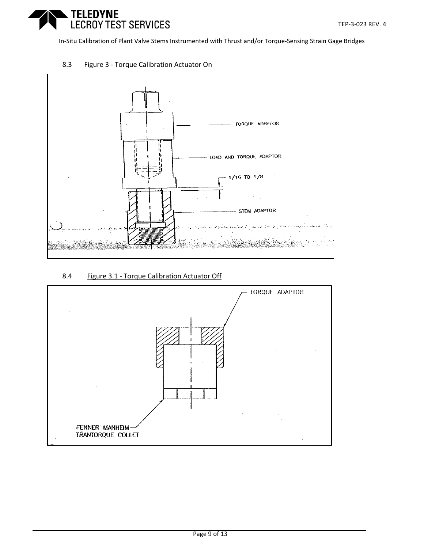

#### 8.3 Figure 3 - Torque Calibration Actuator On



#### 8.4 Figure 3.1 - Torque Calibration Actuator Off

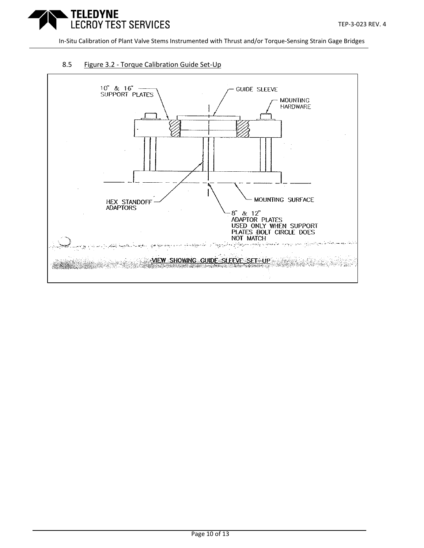

#### 8.5 Figure 3.2 - Torque Calibration Guide Set-Up

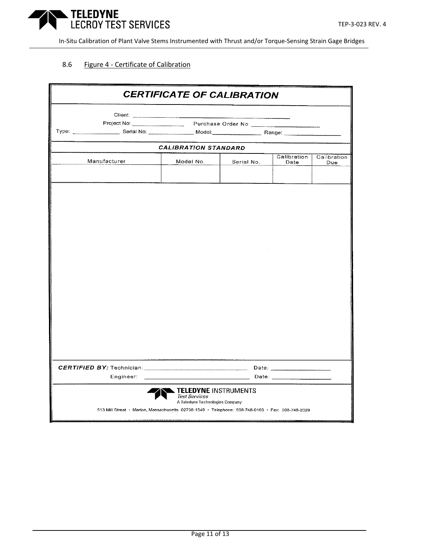

#### 8.6 Figure 4 - Certificate of Calibration

|                                                                                                  | <b>CERTIFICATE OF CALIBRATION</b>                                                      |            |                     |                    |
|--------------------------------------------------------------------------------------------------|----------------------------------------------------------------------------------------|------------|---------------------|--------------------|
|                                                                                                  |                                                                                        |            |                     |                    |
|                                                                                                  | Project No: Purchase Order No: Purchase Order No:                                      |            |                     |                    |
|                                                                                                  |                                                                                        |            |                     |                    |
|                                                                                                  | <b>CALIBRATION STANDARD</b>                                                            |            |                     |                    |
| Manufacturer                                                                                     | Model No.                                                                              | Serial No. | Calibration<br>Date | Calibration<br>Due |
|                                                                                                  |                                                                                        |            |                     |                    |
|                                                                                                  |                                                                                        |            |                     |                    |
|                                                                                                  |                                                                                        |            |                     |                    |
|                                                                                                  |                                                                                        |            |                     |                    |
| Engineer:                                                                                        |                                                                                        |            |                     |                    |
| 513 Mill Street · Marion, Massachusetts 02738-1549 · Telephone: 508-748-0103 · Fax: 508-748-2029 | <b>TELEDYNE INSTRUMENTS</b><br><b>Test Services</b><br>A Teledyne Technologies Company |            |                     |                    |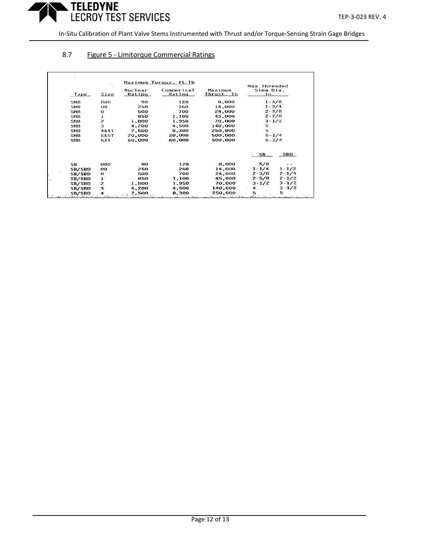

### 8.7 Figure 5 - Limitorque Commercial Ratings

| <b>Type</b>   | Size            | <b>Nuclear</b><br>Rating | Commerical<br>Rating | Maximum<br>Thrust, 1b | Max Threaded<br>Stem Dia.<br>in. |            |
|---------------|-----------------|--------------------------|----------------------|-----------------------|----------------------------------|------------|
| <b>SMB</b>    | 000             | 90                       | 120                  | 8,000                 | $1 - 3/8$                        |            |
| SMB           | oo              | 250                      | 260                  | 14,000                | $1 - 3/4$                        |            |
| SMB.          | o               | 500                      | 700                  | 24,000                | $2 - 3/8$                        |            |
| <b>SMB</b>    |                 | 850                      | 1,100                | 45,000                | $2 - 7/8$                        |            |
| SMB           | $\mathbf{z}$    | 1,800                    | 1,950                | 70,000                | $3 - 1/2$                        |            |
| <b>SMB</b>    | 3               | 4,200                    | 4,500                | 140,000               | 5                                |            |
| <b>SMB</b>    | 4847            | 7,500                    | 8,300                | 250,000               | 5                                |            |
| SMB           | <b>5&amp;5T</b> | 20,000                   | 20,000               | 500,000               | $6 - 1/4$                        |            |
| <b>SMB</b>    | 5XT             | 60,000                   | 60,000               | 500,000               | $6 - 1/4$                        |            |
|               |                 |                          |                      |                       | SB.                              | <b>SBD</b> |
| SB.           | 000             | 90                       | 120                  | 8,000                 | 5/8                              |            |
| SB/SBD        | oo              | 250.                     | 260                  | 14,000                | $1 - 1/4$                        | $1 - 1/2$  |
| SB/SBD        | o               | 500                      | 700                  | 24,000                | $2 - 3/8$                        | $2 - 1/4$  |
| SB/SBD        | 1               | 850                      | 1,100                | 45,000                | $2 - 5/8$                        | $2 - 1/2$  |
| SB/SBD        | $\mathbf{z}$    | 1,800                    | 1,950                | 70,000                | $3 - 1/2$                        | $3 - 1/2$  |
| SB/SBD        | 3               | 4,200                    | 4.500                | 140,000               |                                  | $3 - 1/2$  |
| <b>SB/SBD</b> |                 | 7.500                    | 8,300                | 250,000               |                                  | 5          |